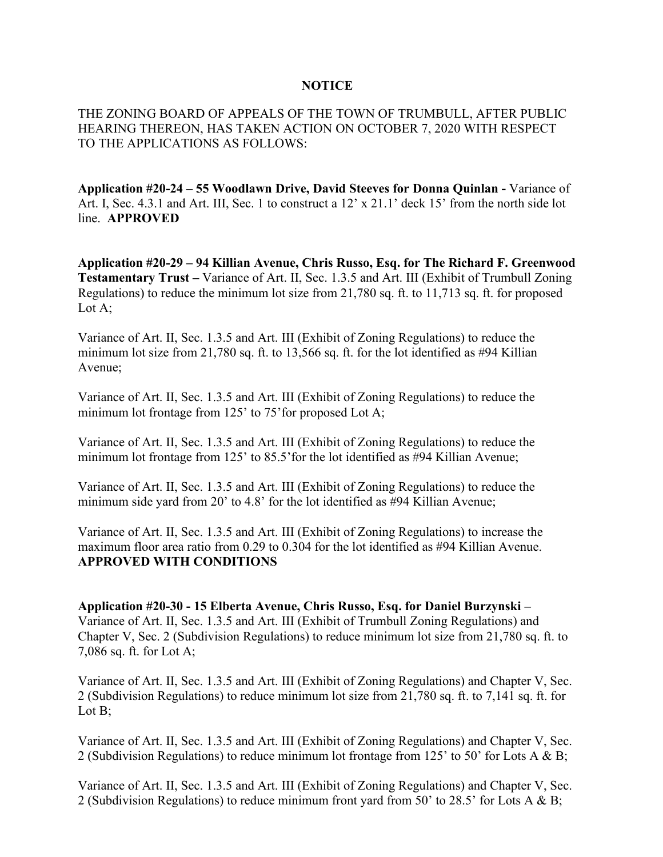## **NOTICE**

THE ZONING BOARD OF APPEALS OF THE TOWN OF TRUMBULL, AFTER PUBLIC HEARING THEREON, HAS TAKEN ACTION ON OCTOBER 7, 2020 WITH RESPECT TO THE APPLICATIONS AS FOLLOWS:

**Application #20-24 – 55 Woodlawn Drive, David Steeves for Donna Quinlan -** Variance of Art. I, Sec. 4.3.1 and Art. III, Sec. 1 to construct a  $12' \times 21.1'$  deck 15' from the north side lot line. **APPROVED**

**Application #20-29 – 94 Killian Avenue, Chris Russo, Esq. for The Richard F. Greenwood Testamentary Trust –** Variance of Art. II, Sec. 1.3.5 and Art. III (Exhibit of Trumbull Zoning Regulations) to reduce the minimum lot size from 21,780 sq. ft. to 11,713 sq. ft. for proposed Lot A;

Variance of Art. II, Sec. 1.3.5 and Art. III (Exhibit of Zoning Regulations) to reduce the minimum lot size from 21,780 sq. ft. to 13,566 sq. ft. for the lot identified as #94 Killian Avenue;

Variance of Art. II, Sec. 1.3.5 and Art. III (Exhibit of Zoning Regulations) to reduce the minimum lot frontage from 125' to 75' for proposed Lot A;

Variance of Art. II, Sec. 1.3.5 and Art. III (Exhibit of Zoning Regulations) to reduce the minimum lot frontage from 125' to 85.5'for the lot identified as #94 Killian Avenue;

Variance of Art. II, Sec. 1.3.5 and Art. III (Exhibit of Zoning Regulations) to reduce the minimum side yard from 20' to 4.8' for the lot identified as #94 Killian Avenue;

Variance of Art. II, Sec. 1.3.5 and Art. III (Exhibit of Zoning Regulations) to increase the maximum floor area ratio from 0.29 to 0.304 for the lot identified as #94 Killian Avenue. **APPROVED WITH CONDITIONS**

**Application #20-30 - 15 Elberta Avenue, Chris Russo, Esq. for Daniel Burzynski –** Variance of Art. II, Sec. 1.3.5 and Art. III (Exhibit of Trumbull Zoning Regulations) and Chapter V, Sec. 2 (Subdivision Regulations) to reduce minimum lot size from 21,780 sq. ft. to 7,086 sq. ft. for Lot A;

Variance of Art. II, Sec. 1.3.5 and Art. III (Exhibit of Zoning Regulations) and Chapter V, Sec. 2 (Subdivision Regulations) to reduce minimum lot size from 21,780 sq. ft. to 7,141 sq. ft. for Lot B:

Variance of Art. II, Sec. 1.3.5 and Art. III (Exhibit of Zoning Regulations) and Chapter V, Sec. 2 (Subdivision Regulations) to reduce minimum lot frontage from 125' to 50' for Lots A & B;

Variance of Art. II, Sec. 1.3.5 and Art. III (Exhibit of Zoning Regulations) and Chapter V, Sec. 2 (Subdivision Regulations) to reduce minimum front yard from 50' to 28.5' for Lots A & B;